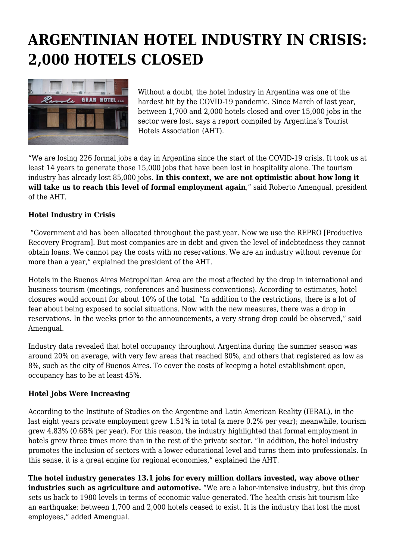## **ARGENTINIAN HOTEL INDUSTRY IN CRISIS: 2,000 HOTELS CLOSED**



Without a doubt, the hotel industry in Argentina was one of the hardest hit by the COVID-19 pandemic. Since March of last year, between 1,700 and 2,000 hotels closed and over 15,000 jobs in the sector were lost, says a report compiled by Argentina's Tourist Hotels Association (AHT).

"We are losing 226 formal jobs a day in Argentina since the start of the COVID-19 crisis. It took us at least 14 years to generate those 15,000 jobs that have been lost in hospitality alone. The tourism industry has already lost 85,000 jobs. **In this context, we are not optimistic about how long it will take us to reach this level of formal employment again**," said Roberto Amengual, president of the AHT.

## **Hotel Industry in Crisis**

 "Government aid has been allocated throughout the past year. Now we use the REPRO [Productive Recovery Program]. But most companies are in debt and given the level of indebtedness they cannot obtain loans. We cannot pay the costs with no reservations. We are an industry without revenue for more than a year," explained the president of the AHT.

Hotels in the Buenos Aires Metropolitan Area are the most affected by the drop in international and business tourism (meetings, conferences and business conventions). According to estimates, hotel closures would account for about 10% of the total. "In addition to the restrictions, there is a lot of fear about being exposed to social situations. Now with the new measures, there was a drop in reservations. In the weeks prior to the announcements, a very strong drop could be observed," said Amengual.

Industry data revealed that hotel occupancy throughout Argentina during the summer season was around 20% on average, with very few areas that reached 80%, and others that registered as low as 8%, such as the city of Buenos Aires. To cover the costs of keeping a hotel establishment open, occupancy has to be at least 45%.

## **Hotel Jobs Were Increasing**

According to the Institute of Studies on the Argentine and Latin American Reality (IERAL), in the last eight years private employment grew 1.51% in total (a mere 0.2% per year); meanwhile, tourism grew 4.83% (0.68% per year). For this reason, the industry highlighted that formal employment in hotels grew three times more than in the rest of the private sector. "In addition, the hotel industry promotes the inclusion of sectors with a lower educational level and turns them into professionals. In this sense, it is a great engine for regional economies," explained the AHT.

**The hotel industry generates 13.1 jobs for every million dollars invested, way above other industries such as agriculture and automotive.** "We are a labor-intensive industry, but this drop sets us back to 1980 levels in terms of economic value generated. The health crisis hit tourism like an earthquake: between 1,700 and 2,000 hotels ceased to exist. It is the industry that lost the most employees," added Amengual.